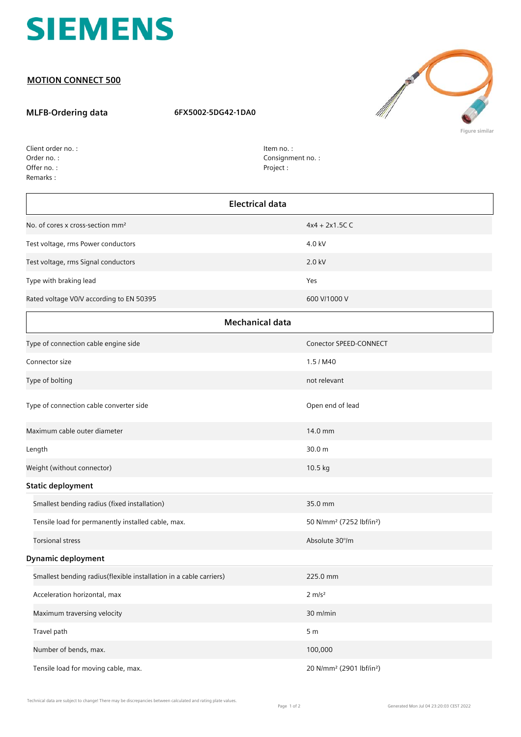

## **MOTION CONNECT 500**

## **MLFB-Ordering data 6FX5002-5DG42-1DA0**



Order no. : Offer no. : Client order no. : Remarks :

Item no. : Consignment no. : Project :

| <b>Electrical data</b>                                             |                                                  |  |
|--------------------------------------------------------------------|--------------------------------------------------|--|
| No. of cores x cross-section mm <sup>2</sup>                       | $4x4 + 2x1.5C$ C                                 |  |
| Test voltage, rms Power conductors                                 | 4.0 kV                                           |  |
| Test voltage, rms Signal conductors                                | 2.0 kV                                           |  |
| Type with braking lead                                             | Yes                                              |  |
| Rated voltage V0/V according to EN 50395                           | 600 V/1000 V                                     |  |
| <b>Mechanical data</b>                                             |                                                  |  |
| Type of connection cable engine side                               | Conector SPEED-CONNECT                           |  |
| Connector size                                                     | 1.5 / M40                                        |  |
| Type of bolting                                                    | not relevant                                     |  |
| Type of connection cable converter side                            | Open end of lead                                 |  |
| Maximum cable outer diameter                                       | 14.0 mm                                          |  |
| Length                                                             | 30.0 m                                           |  |
| Weight (without connector)                                         | 10.5 kg                                          |  |
| <b>Static deployment</b>                                           |                                                  |  |
| Smallest bending radius (fixed installation)                       | 35.0 mm                                          |  |
| Tensile load for permanently installed cable, max.                 | 50 N/mm <sup>2</sup> (7252 lbf/in <sup>2</sup> ) |  |
| <b>Torsional stress</b>                                            | Absolute 30°/m                                   |  |
| <b>Dynamic deployment</b>                                          |                                                  |  |
| Smallest bending radius(flexible installation in a cable carriers) | 225.0 mm                                         |  |
| Acceleration horizontal, max                                       | $2 \, \text{m/s}^2$                              |  |
| Maximum traversing velocity                                        | 30 m/min                                         |  |
| Travel path                                                        | 5 <sub>m</sub>                                   |  |
| Number of bends, max.                                              | 100,000                                          |  |
| Tensile load for moving cable, max.                                | 20 N/mm <sup>2</sup> (2901 lbf/in <sup>2</sup> ) |  |